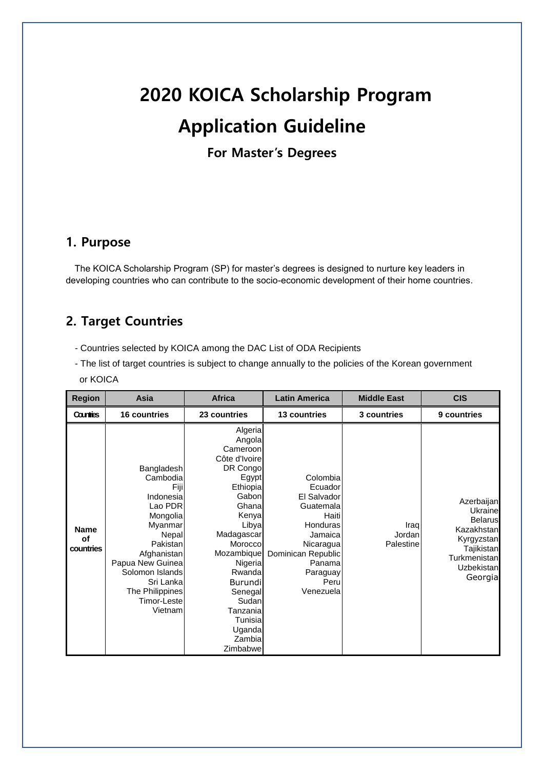# **2020 KOICA Scholarship Program Application Guideline**

**For Master's Degrees**

### **1. Purpose**

The KOICA Scholarship Program (SP) for master's degrees is designed to nurture key leaders in developing countries who can contribute to the socio-economic development of their home countries.

# **2. Target Countries**

- Countries selected by KOICA among the DAC List of ODA Recipients
- The list of target countries is subject to change annually to the policies of the Korean government or KOICA

| <b>Region</b>                  | Asia                                                                                                                                                                                                               | <b>Africa</b>                                                                                                                                                                                                                                                         | <b>Latin America</b>                                                                                                                                          | <b>Middle East</b>          | <b>CIS</b>                                                                                                                        |
|--------------------------------|--------------------------------------------------------------------------------------------------------------------------------------------------------------------------------------------------------------------|-----------------------------------------------------------------------------------------------------------------------------------------------------------------------------------------------------------------------------------------------------------------------|---------------------------------------------------------------------------------------------------------------------------------------------------------------|-----------------------------|-----------------------------------------------------------------------------------------------------------------------------------|
| Countries                      | <b>16 countries</b>                                                                                                                                                                                                | 23 countries                                                                                                                                                                                                                                                          | <b>13 countries</b>                                                                                                                                           | 3 countries                 | 9 countries                                                                                                                       |
| <b>Name</b><br>of<br>countries | Bangladesh<br>Cambodia<br>Fiji<br>Indonesia<br>Lao PDR<br>Mongolia<br>Myanmar<br>Nepal<br>Pakistan<br>Afghanistan<br>Papua New Guinea<br>Solomon Islands<br>Sri Lanka<br>The Philippines<br>Timor-Leste<br>Vietnam | Algeria<br>Angola<br>Cameroon<br>Côte d'Ivoire<br>DR Congo<br>Egypt<br>Ethiopia<br>Gabon<br>Ghana<br>Kenya<br>Libya<br>Madagascar<br>Morocco<br>Mozambique<br>Nigeria<br>Rwanda<br>Burundi<br>Senegal<br>Sudan<br>Tanzania<br>Tunisia<br>Uganda<br>Zambia<br>Zimbabwe | Colombia<br>Ecuador<br>El Salvador<br>Guatemala<br>Haiti<br>Honduras<br>Jamaica<br>Nicaragua<br>Dominican Republic<br>Panama<br>Paraguay<br>Peru<br>Venezuela | Iraq<br>Jordan<br>Palestine | Azerbaijan<br><b>Ukraine</b><br><b>Belarus</b><br>Kazakhstan<br>Kyrgyzstan<br>Tajikistan<br>Turkmenistan<br>Uzbekistan<br>Georgia |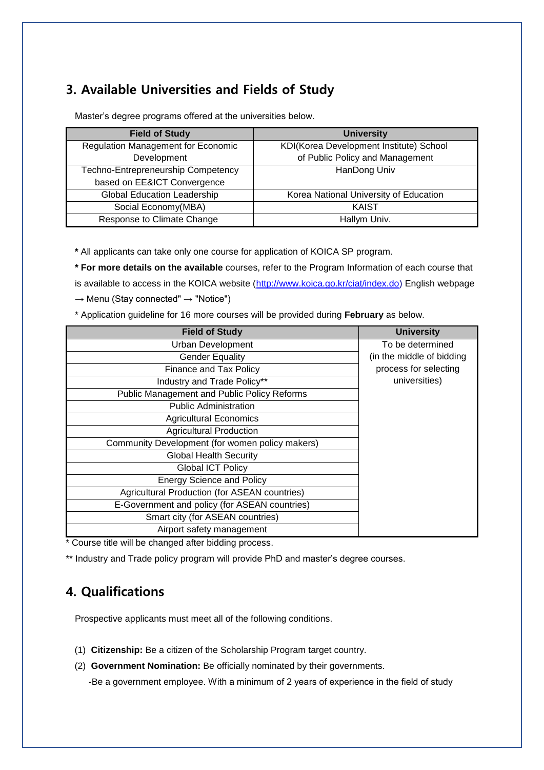# **3. Available Universities and Fields of Study**

| <b>Field of Study</b>                     | <b>University</b>                       |
|-------------------------------------------|-----------------------------------------|
| <b>Regulation Management for Economic</b> | KDI(Korea Development Institute) School |
| Development                               | of Public Policy and Management         |
| Techno-Entrepreneurship Competency        | HanDong Univ                            |
| based on EE&ICT Convergence               |                                         |
| <b>Global Education Leadership</b>        | Korea National University of Education  |
| Social Economy(MBA)                       | <b>KAIST</b>                            |
| Response to Climate Change                | Hallym Univ.                            |

Master's degree programs offered at the universities below.

**\*** All applicants can take only one course for application of KOICA SP program.

**\* For more details on the available** courses, refer to the Program Information of each course that is available to access in the KOICA website [\(http://www.koica.go.kr/ciat/index.do\)](http://www.koica.go.kr/ciat/index.do) English webpage  $\rightarrow$  Menu (Stay connected"  $\rightarrow$  "Notice")

\* Application guideline for 16 more courses will be provided during **February** as below.

| <b>Field of Study</b>                           | <b>University</b>         |
|-------------------------------------------------|---------------------------|
| <b>Urban Development</b>                        | To be determined          |
| <b>Gender Equality</b>                          | (in the middle of bidding |
| Finance and Tax Policy                          | process for selecting     |
| Industry and Trade Policy**                     | universities)             |
| Public Management and Public Policy Reforms     |                           |
| <b>Public Administration</b>                    |                           |
| <b>Agricultural Economics</b>                   |                           |
| <b>Agricultural Production</b>                  |                           |
| Community Development (for women policy makers) |                           |
| <b>Global Health Security</b>                   |                           |
| <b>Global ICT Policy</b>                        |                           |
| <b>Energy Science and Policy</b>                |                           |
| Agricultural Production (for ASEAN countries)   |                           |
| E-Government and policy (for ASEAN countries)   |                           |
| Smart city (for ASEAN countries)                |                           |
| Airport safety management                       |                           |

\* Course title will be changed after bidding process.

\*\* Industry and Trade policy program will provide PhD and master's degree courses.

# **4. Qualifications**

Prospective applicants must meet all of the following conditions.

- (1) **Citizenship:** Be a citizen of the Scholarship Program target country.
- (2) **Government Nomination:** Be officially nominated by their governments.

-Be a government employee. With a minimum of 2 years of experience in the field of study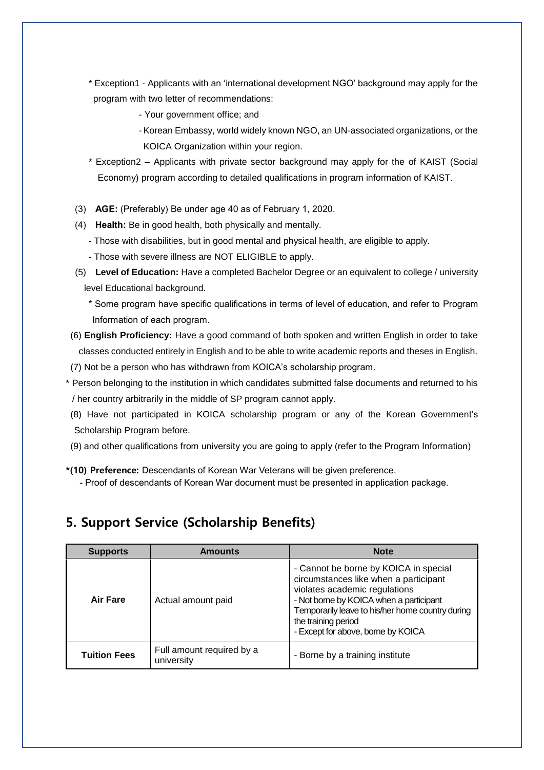- \* Exception1 Applicants with an 'international development NGO' background may apply for the program with two letter of recommendations:
	- Your government office; and
	- -Korean Embassy, world widely known NGO, an UN-associated organizations, or the KOICA Organization within your region.
- \* Exception2 Applicants with private sector background may apply for the of KAIST (Social Economy) program according to detailed qualifications in program information of KAIST.
- (3) **AGE:** (Preferably) Be under age 40 as of February 1, 2020.
- (4) **Health:** Be in good health, both physically and mentally.
	- Those with disabilities, but in good mental and physical health, are eligible to apply.
	- Those with severe illness are NOT ELIGIBLE to apply.
- (5) **Level of Education:** Have a completed Bachelor Degree or an equivalent to college / university level Educational background.
	- \* Some program have specific qualifications in terms of level of education, and refer to Program Information of each program.
- (6) **English Proficiency:** Have a good command of both spoken and written English in order to take classes conducted entirely in English and to be able to write academic reports and theses in English. (7) Not be a person who has withdrawn from KOICA's scholarship program.
- \* Person belonging to the institution in which candidates submitted false documents and returned to his / her country arbitrarily in the middle of SP program cannot apply.
- (8) Have not participated in KOICA scholarship program or any of the Korean Government's Scholarship Program before.
- (9) and other qualifications from university you are going to apply (refer to the Program Information)
- **\*(10) Preference:** Descendants of Korean War Veterans will be given preference.
	- Proof of descendants of Korean War document must be presented in application package.

### **5. Support Service (Scholarship Benefits)**

| <b>Supports</b>     | <b>Amounts</b>                          | <b>Note</b>                                                                                                                                                                                                                                                                 |
|---------------------|-----------------------------------------|-----------------------------------------------------------------------------------------------------------------------------------------------------------------------------------------------------------------------------------------------------------------------------|
| Air Fare            | Actual amount paid                      | - Cannot be borne by KOICA in special<br>circumstances like when a participant<br>violates academic regulations<br>- Not borne by KOICA when a participant<br>Temporarily leave to his/her home country during<br>the training period<br>- Except for above, borne by KOICA |
| <b>Tuition Fees</b> | Full amount required by a<br>university | - Borne by a training institute                                                                                                                                                                                                                                             |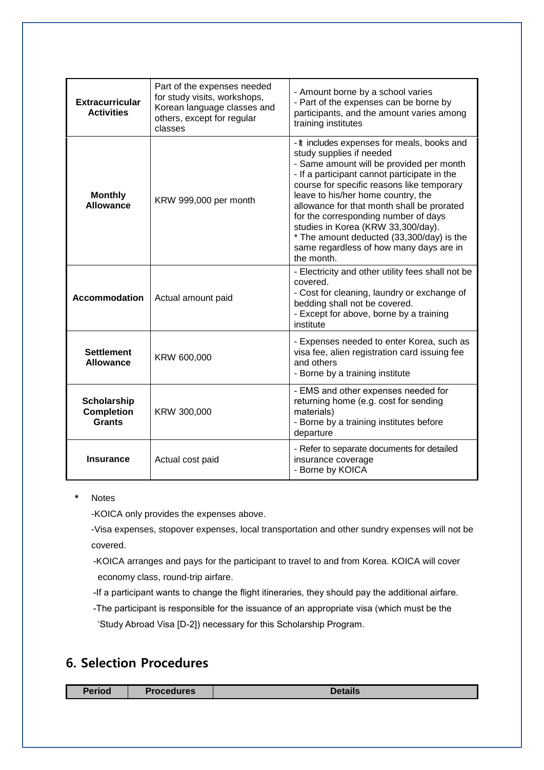| <b>Extracurricular</b><br><b>Activities</b>              | Part of the expenses needed<br>for study visits, workshops,<br>Korean language classes and<br>others, except for regular<br>classes | - Amount borne by a school varies<br>- Part of the expenses can be borne by<br>participants, and the amount varies among<br>training institutes                                                                                                                                                                                                                                                                                                                                           |
|----------------------------------------------------------|-------------------------------------------------------------------------------------------------------------------------------------|-------------------------------------------------------------------------------------------------------------------------------------------------------------------------------------------------------------------------------------------------------------------------------------------------------------------------------------------------------------------------------------------------------------------------------------------------------------------------------------------|
| <b>Monthly</b><br><b>Allowance</b>                       | KRW 999,000 per month                                                                                                               | - It includes expenses for meals, books and<br>study supplies if needed<br>- Same amount will be provided per month<br>- If a participant cannot participate in the<br>course for specific reasons like temporary<br>leave to his/her home country, the<br>allowance for that month shall be prorated<br>for the corresponding number of days<br>studies in Korea (KRW 33,300/day).<br>* The amount deducted (33,300/day) is the<br>same regardless of how many days are in<br>the month. |
| <b>Accommodation</b>                                     | Actual amount paid                                                                                                                  | - Electricity and other utility fees shall not be<br>covered.<br>- Cost for cleaning, laundry or exchange of<br>bedding shall not be covered.<br>- Except for above, borne by a training<br>institute                                                                                                                                                                                                                                                                                     |
| <b>Settlement</b><br><b>Allowance</b>                    | KRW 600,000                                                                                                                         | - Expenses needed to enter Korea, such as<br>visa fee, alien registration card issuing fee<br>and others<br>- Borne by a training institute                                                                                                                                                                                                                                                                                                                                               |
| <b>Scholarship</b><br><b>Completion</b><br><b>Grants</b> | KRW 300,000                                                                                                                         | - EMS and other expenses needed for<br>returning home (e.g. cost for sending<br>materials)<br>- Borne by a training institutes before<br>departure                                                                                                                                                                                                                                                                                                                                        |
| <b>Insurance</b>                                         | Actual cost paid                                                                                                                    | - Refer to separate documents for detailed<br>insurance coverage<br>- Borne by KOICA                                                                                                                                                                                                                                                                                                                                                                                                      |

#### **\*** Notes

-KOICA only provides the expenses above.

-Visa expenses, stopover expenses, local transportation and other sundry expenses will not be covered.

-KOICA arranges and pays for the participant to travel to and from Korea. KOICA will cover economy class, round-trip airfare.

-If a participant wants to change the flight itineraries, they should pay the additional airfare.

-The participant is responsible for the issuance of an appropriate visa (which must be the 'Study Abroad Visa [D-2]) necessary for this Scholarship Program.

# **6. Selection Procedures**

**Period Procedures Details**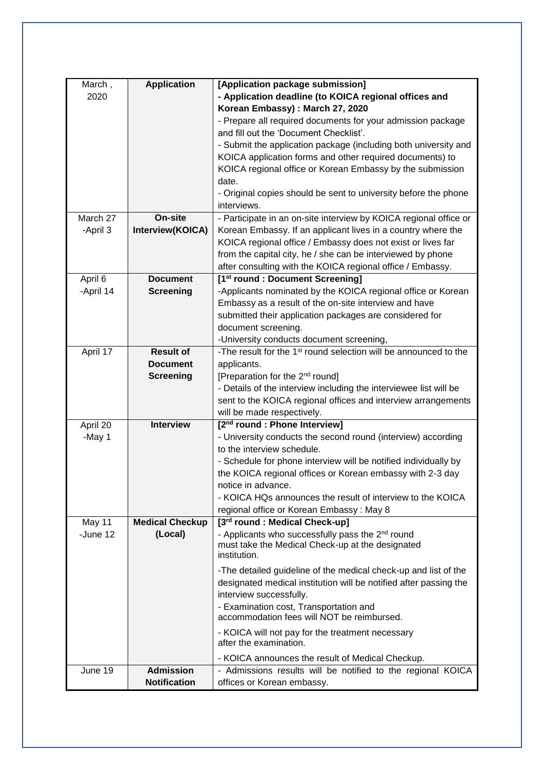| March,             | <b>Application</b>     | [Application package submission]                                                     |
|--------------------|------------------------|--------------------------------------------------------------------------------------|
| 2020               |                        | - Application deadline (to KOICA regional offices and                                |
|                    |                        | Korean Embassy) : March 27, 2020                                                     |
|                    |                        | - Prepare all required documents for your admission package                          |
|                    |                        | and fill out the 'Document Checklist'.                                               |
|                    |                        | - Submit the application package (including both university and                      |
|                    |                        | KOICA application forms and other required documents) to                             |
|                    |                        | KOICA regional office or Korean Embassy by the submission                            |
|                    |                        | date.                                                                                |
|                    |                        | - Original copies should be sent to university before the phone                      |
|                    |                        | interviews.                                                                          |
| March 27           | On-site                | - Participate in an on-site interview by KOICA regional office or                    |
| -April 3           | Interview(KOICA)       | Korean Embassy. If an applicant lives in a country where the                         |
|                    |                        | KOICA regional office / Embassy does not exist or lives far                          |
|                    |                        | from the capital city, he / she can be interviewed by phone                          |
|                    |                        | after consulting with the KOICA regional office / Embassy.                           |
| April 6            | <b>Document</b>        | [1 <sup>st</sup> round : Document Screening]                                         |
| -April 14          | <b>Screening</b>       | -Applicants nominated by the KOICA regional office or Korean                         |
|                    |                        | Embassy as a result of the on-site interview and have                                |
|                    |                        | submitted their application packages are considered for                              |
|                    |                        | document screening.                                                                  |
|                    |                        | -University conducts document screening,                                             |
| April 17           | <b>Result of</b>       | -The result for the 1 <sup>st</sup> round selection will be announced to the         |
|                    | <b>Document</b>        | applicants.                                                                          |
|                    | <b>Screening</b>       | [Preparation for the 2 <sup>nd</sup> round]                                          |
|                    |                        | - Details of the interview including the interviewee list will be                    |
|                    |                        | sent to the KOICA regional offices and interview arrangements                        |
|                    |                        | will be made respectively.                                                           |
| April 20           | <b>Interview</b>       | [2 <sup>nd</sup> round : Phone Interview]                                            |
| -May 1             |                        | - University conducts the second round (interview) according                         |
|                    |                        | to the interview schedule.                                                           |
|                    |                        | - Schedule for phone interview will be notified individually by                      |
|                    |                        | the KOICA regional offices or Korean embassy with 2-3 day                            |
|                    |                        | notice in advance.                                                                   |
|                    |                        | - KOICA HQs announces the result of interview to the KOICA                           |
|                    |                        | regional office or Korean Embassy: May 8                                             |
|                    | <b>Medical Checkup</b> | [3rd round : Medical Check-up]                                                       |
| May 11<br>-June 12 |                        | - Applicants who successfully pass the 2 <sup>nd</sup> round                         |
|                    | (Local)                | must take the Medical Check-up at the designated                                     |
|                    |                        | institution.                                                                         |
|                    |                        |                                                                                      |
|                    |                        | -The detailed guideline of the medical check-up and list of the                      |
|                    |                        | designated medical institution will be notified after passing the                    |
|                    |                        | interview successfully.                                                              |
|                    |                        | - Examination cost, Transportation and<br>accommodation fees will NOT be reimbursed. |
|                    |                        |                                                                                      |
|                    |                        | - KOICA will not pay for the treatment necessary                                     |
|                    |                        | after the examination.                                                               |
|                    |                        | - KOICA announces the result of Medical Checkup.                                     |
| June 19            | <b>Admission</b>       | - Admissions results will be notified to the regional KOICA                          |
|                    | <b>Notification</b>    | offices or Korean embassy.                                                           |